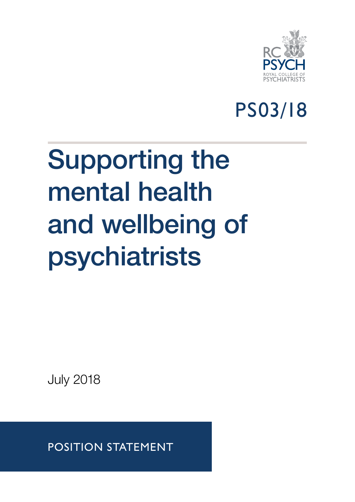

## PS03/18

# Supporting the mental health and wellbeing of psychiatrists

July 2018

POSITION STATEMENT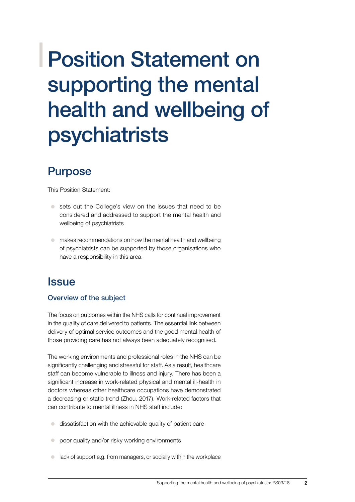## Position Statement on supporting the mental health and wellbeing of psychiatrists

## Purpose

This Position Statement:

- sets out the College's view on the issues that need to be considered and addressed to support the mental health and wellbeing of psychiatrists
- makes recommendations on how the mental health and wellbeing of psychiatrists can be supported by those organisations who have a responsibility in this area.

### **Issue**

#### Overview of the subject

The focus on outcomes within the NHS calls for continual improvement in the quality of care delivered to patients. The essential link between delivery of optimal service outcomes and the good mental health of those providing care has not always been adequately recognised.

The working environments and professional roles in the NHS can be significantly challenging and stressful for staff. As a result, healthcare staff can become vulnerable to illness and injury. There has been a significant increase in work-related physical and mental ill-health in doctors whereas other healthcare occupations have demonstrated a decreasing or static trend (Zhou, 2017). Work-related factors that can contribute to mental illness in NHS staff include:

- $\bullet$  dissatisfaction with the achievable quality of patient care
- poor quality and/or risky working environments
- lack of support e.g. from managers, or socially within the workplace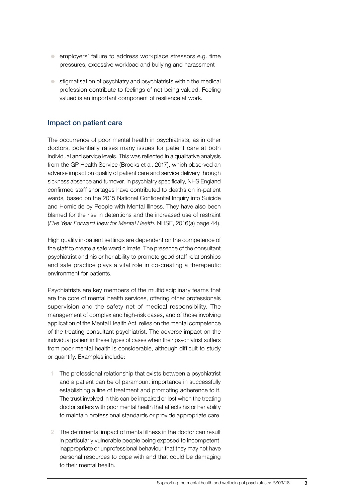- employers' failure to address workplace stressors e.g. time pressures, excessive workload and bullying and harassment
- $\bullet$  stigmatisation of psychiatry and psychiatrists within the medical profession contribute to feelings of not being valued. Feeling valued is an important component of resilience at work.

#### Impact on patient care

The occurrence of poor mental health in psychiatrists, as in other doctors, potentially raises many issues for patient care at both individual and service levels. This was reflected in a qualitative analysis from the GP Health Service (Brooks et al, 2017), which observed an adverse impact on quality of patient care and service delivery through sickness absence and turnover. In psychiatry specifically, NHS England confirmed staff shortages have contributed to deaths on in-patient wards, based on the 2015 National Confidential Inquiry into Suicide and Homicide by People with Mental Illness. They have also been blamed for the rise in detentions and the increased use of restraint (*Five Year Forward View for Mental Health.* NHSE, 2016(a) page 44).

High quality in-patient settings are dependent on the competence of the staff to create a safe ward climate. The presence of the consultant psychiatrist and his or her ability to promote good staff relationships and safe practice plays a vital role in co-creating a therapeutic environment for patients.

Psychiatrists are key members of the multidisciplinary teams that are the core of mental health services, offering other professionals supervision and the safety net of medical responsibility. The management of complex and high-risk cases, and of those involving application of the Mental Health Act, relies on the mental competence of the treating consultant psychiatrist. The adverse impact on the individual patient in these types of cases when their psychiatrist suffers from poor mental health is considerable, although difficult to study or quantify. Examples include:

- The professional relationship that exists between a psychiatrist and a patient can be of paramount importance in successfully establishing a line of treatment and promoting adherence to it. The trust involved in this can be impaired or lost when the treating doctor suffers with poor mental health that affects his or her ability to maintain professional standards or provide appropriate care.
- 2 The detrimental impact of mental illness in the doctor can result in particularly vulnerable people being exposed to incompetent, inappropriate or unprofessional behaviour that they may not have personal resources to cope with and that could be damaging to their mental health.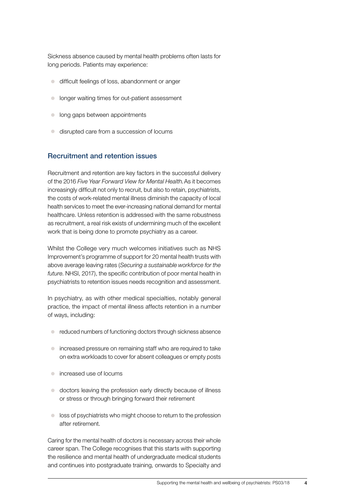Sickness absence caused by mental health problems often lasts for long periods. Patients may experience:

- c difficult feelings of loss, abandonment or anger
- longer waiting times for out-patient assessment
- $\bullet$  long gaps between appointments
- disrupted care from a succession of locums

#### Recruitment and retention issues

Recruitment and retention are key factors in the successful delivery of the 2016 *Five Year Forward View for Mental Health*. As it becomes increasingly difficult not only to recruit, but also to retain, psychiatrists, the costs of work-related mental illness diminish the capacity of local health services to meet the ever-increasing national demand for mental healthcare. Unless retention is addressed with the same robustness as recruitment, a real risk exists of undermining much of the excellent work that is being done to promote psychiatry as a career.

Whilst the College very much welcomes initiatives such as NHS Improvement's programme of support for 20 mental health trusts with above average leaving rates (*Securing a sustainable workforce for the future*. NHSI, 2017), the specific contribution of poor mental health in psychiatrists to retention issues needs recognition and assessment.

In psychiatry, as with other medical specialties, notably general practice, the impact of mental illness affects retention in a number of ways, including:

- $\bullet$  reduced numbers of functioning doctors through sickness absence
- increased pressure on remaining staff who are required to take on extra workloads to cover for absent colleagues or empty posts
- **•** increased use of locums
- $\bullet$  doctors leaving the profession early directly because of illness or stress or through bringing forward their retirement
- $\bullet$  loss of psychiatrists who might choose to return to the profession after retirement.

Caring for the mental health of doctors is necessary across their whole career span. The College recognises that this starts with supporting the resilience and mental health of undergraduate medical students and continues into postgraduate training, onwards to Specialty and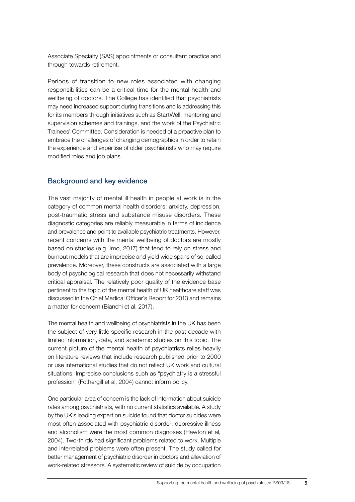Associate Specialty (SAS) appointments or consultant practice and through towards retirement.

Periods of transition to new roles associated with changing responsibilities can be a critical time for the mental health and wellbeing of doctors. The College has identified that psychiatrists may need increased support during transitions and is addressing this for its members through initiatives such as StartWell, mentoring and supervision schemes and trainings, and the work of the Psychiatric Trainees' Committee. Consideration is needed of a proactive plan to embrace the challenges of changing demographics in order to retain the experience and expertise of older psychiatrists who may require modified roles and job plans.

#### Background and key evidence

The vast majority of mental ill health in people at work is in the category of common mental health disorders: anxiety, depression, post-traumatic stress and substance misuse disorders. These diagnostic categories are reliably measurable in terms of incidence and prevalence and point to available psychiatric treatments. However, recent concerns with the mental wellbeing of doctors are mostly based on studies (e.g. Imo, 2017) that tend to rely on stress and burnout models that are imprecise and yield wide spans of so-called prevalence. Moreover, these constructs are associated with a large body of psychological research that does not necessarily withstand critical appraisal. The relatively poor quality of the evidence base pertinent to the topic of the mental health of UK healthcare staff was discussed in the Chief Medical Officer's Report for 2013 and remains a matter for concern (Bianchi et al, 2017).

The mental health and wellbeing of psychiatrists in the UK has been the subject of very little specific research in the past decade with limited information, data, and academic studies on this topic. The current picture of the mental health of psychiatrists relies heavily on literature reviews that include research published prior to 2000 or use international studies that do not reflect UK work and cultural situations. Imprecise conclusions such as "psychiatry is a stressful profession" (Fothergill et al, 2004) cannot inform policy.

One particular area of concern is the lack of information about suicide rates among psychiatrists, with no current statistics available. A study by the UK's leading expert on suicide found that doctor suicides were most often associated with psychiatric disorder: depressive illness and alcoholism were the most common diagnoses (Hawton et al, 2004). Two-thirds had significant problems related to work. Multiple and interrelated problems were often present. The study called for better management of psychiatric disorder in doctors and alleviation of work-related stressors. A systematic review of suicide by occupation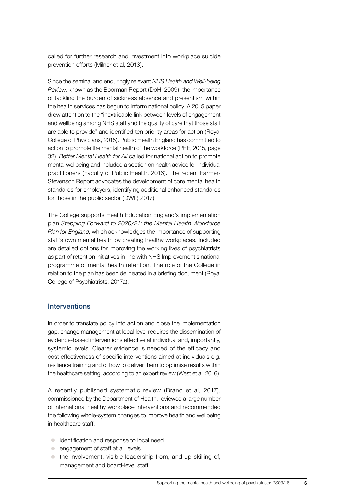called for further research and investment into workplace suicide prevention efforts (Milner et al, 2013).

Since the seminal and enduringly relevant *NHS Health and Well-being Review*, known as the Boorman Report (DoH, 2009), the importance of tackling the burden of sickness absence and presentism within the health services has begun to inform national policy. A 2015 paper drew attention to the "inextricable link between levels of engagement and wellbeing among NHS staff and the quality of care that those staff are able to provide" and identified ten priority areas for action (Royal College of Physicians, 2015). Public Health England has committed to action to promote the mental health of the workforce (PHE, 2015, page 32). *Better Mental Health for All* called for national action to promote mental wellbeing and included a section on health advice for individual practitioners (Faculty of Public Health, 2016). The recent Farmer-Stevenson Report advocates the development of core mental health standards for employers, identifying additional enhanced standards for those in the public sector (DWP, 2017).

The College supports Health Education England's implementation plan *[Stepping Forward to 2020/21: the Mental Health Workforce](https://www.hee.nhs.uk/sites/default/files/documents/CCS0717505185-1_FYFV%20Mental%20health%20workforce%20plan%20for%20England_v5%283%29.pdf) [Plan for England](https://www.hee.nhs.uk/sites/default/files/documents/CCS0717505185-1_FYFV%20Mental%20health%20workforce%20plan%20for%20England_v5%283%29.pdf)*, which acknowledges the importance of supporting staff's own mental health by creating healthy workplaces. Included are detailed options for improving the working lives of psychiatrists as part of retention initiatives in line with NHS Improvement's national programme of mental health retention. The role of the College in relation to the plan has been delineated in a briefing document (Royal College of Psychiatrists, 2017a).

#### Interventions

In order to translate policy into action and close the implementation gap, change management at local level requires the dissemination of evidence-based interventions effective at individual and, importantly, systemic levels. Clearer evidence is needed of the efficacy and cost-effectiveness of specific interventions aimed at individuals e.g. resilience training and of how to deliver them to optimise results within the healthcare setting, according to an expert review (West et al, 2016).

A recently published systematic review (Brand et al, 2017), commissioned by the Department of Health, reviewed a large number of international healthy workplace interventions and recommended the following whole-system changes to improve health and wellbeing in healthcare staff:

- c identification and response to local need
- $\bullet$  engagement of staff at all levels
- $\bullet$  the involvement, visible leadership from, and up-skilling of, management and board-level staff.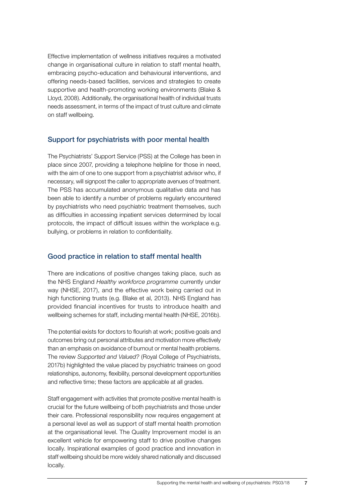Effective implementation of wellness initiatives requires a motivated change in organisational culture in relation to staff mental health, embracing psycho-education and behavioural interventions, and offering needs-based facilities, services and strategies to create supportive and health-promoting working environments (Blake & Lloyd, 2008). Additionally, the organisational health of individual trusts needs assessment, in terms of the impact of trust culture and climate on staff wellbeing.

#### Support for psychiatrists with poor mental health

The Psychiatrists' Support Service (PSS) at the College has been in place since 2007, providing a telephone helpline for those in need, with the aim of one to one support from a psychiatrist advisor who, if necessary, will signpost the caller to appropriate avenues of treatment. The PSS has accumulated anonymous qualitative data and has been able to identify a number of problems regularly encountered by psychiatrists who need psychiatric treatment themselves, such as difficulties in accessing inpatient services determined by local protocols, the impact of difficult issues within the workplace e.g. bullying, or problems in relation to confidentiality.

#### Good practice in relation to staff mental health

There are indications of positive changes taking place, such as the NHS England *Healthy workforce programme* currently under way (NHSE, 2017), and the effective work being carried out in high functioning trusts (e.g. Blake et al, 2013). NHS England has provided financial incentives for trusts to introduce health and wellbeing schemes for staff, including mental health (NHSE, 2016b).

The potential exists for doctors to flourish at work; positive goals and outcomes bring out personal attributes and motivation more effectively than an emphasis on avoidance of burnout or mental health problems. The review *Supported and Valued?* (Royal College of Psychiatrists, 2017b) highlighted the value placed by psychiatric trainees on good relationships, autonomy, flexibility, personal development opportunities and reflective time; these factors are applicable at all grades.

Staff engagement with activities that promote positive mental health is crucial for the future wellbeing of both psychiatrists and those under their care. Professional responsibility now requires engagement at a personal level as well as support of staff mental health promotion at the organisational level. The Quality Improvement model is an excellent vehicle for empowering staff to drive positive changes locally. Inspirational examples of good practice and innovation in staff wellbeing should be more widely shared nationally and discussed locally.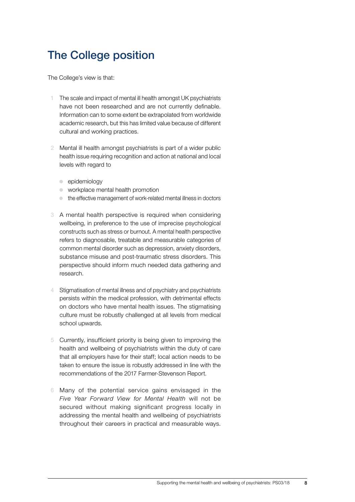## The College position

The College's view is that:

- The scale and impact of mental ill health amongst UK psychiatrists have not been researched and are not currently definable. Information can to some extent be extrapolated from worldwide academic research, but this has limited value because of different cultural and working practices.
- 2 Mental ill health amongst psychiatrists is part of a wider public health issue requiring recognition and action at national and local levels with regard to
	- $\bullet$  epidemiology
	- $\bullet$  workplace mental health promotion
	- $\bullet$  the effective management of work-related mental illness in doctors
- 3 A mental health perspective is required when considering wellbeing, in preference to the use of imprecise psychological constructs such as stress or burnout. A mental health perspective refers to diagnosable, treatable and measurable categories of common mental disorder such as depression, anxiety disorders, substance misuse and post-traumatic stress disorders. This perspective should inform much needed data gathering and research.
- Stigmatisation of mental illness and of psychiatry and psychiatrists persists within the medical profession, with detrimental effects on doctors who have mental health issues. The stigmatising culture must be robustly challenged at all levels from medical school upwards.
- 5 Currently, insufficient priority is being given to improving the health and wellbeing of psychiatrists within the duty of care that all employers have for their staff; local action needs to be taken to ensure the issue is robustly addressed in line with the recommendations of the 2017 Farmer-Stevenson Report.
- 6 Many of the potential service gains envisaged in the *Five Year Forward View for Mental Health* will not be secured without making significant progress locally in addressing the mental health and wellbeing of psychiatrists throughout their careers in practical and measurable ways.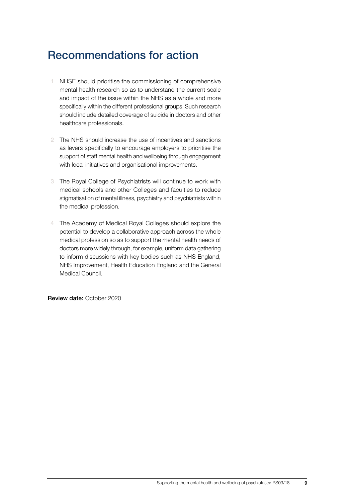## Recommendations for action

- NHSE should prioritise the commissioning of comprehensive mental health research so as to understand the current scale and impact of the issue within the NHS as a whole and more specifically within the different professional groups. Such research should include detailed coverage of suicide in doctors and other healthcare professionals.
- 2 The NHS should increase the use of incentives and sanctions as levers specifically to encourage employers to prioritise the support of staff mental health and wellbeing through engagement with local initiatives and organisational improvements.
- 3 The Royal College of Psychiatrists will continue to work with medical schools and other Colleges and faculties to reduce stigmatisation of mental illness, psychiatry and psychiatrists within the medical profession.
- 4 The Academy of Medical Royal Colleges should explore the potential to develop a collaborative approach across the whole medical profession so as to support the mental health needs of doctors more widely through, for example, uniform data gathering to inform discussions with key bodies such as NHS England, NHS Improvement, Health Education England and the General Medical Council.

Review date: October 2020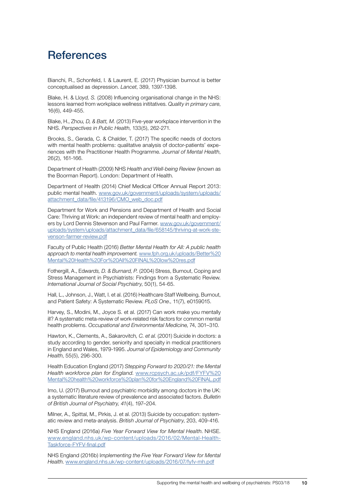### **References**

Bianchi, R., Schonfeld, I. & Laurent, E. (2017) Physician burnout is better conceptualised as depression. *Lancet*, 389, 1397-1398.

Blake, H. & Ll*oyd, S.* (2008) Influencing organisational change in the NHS: lessons learned from workplace wellness inititatives. *Quality in primary care*, 16(6), 449-455.

Blake, H., Zh*ou, D, & Batt, M.* (2013) Five-year workplace intervention in the NHS. *Perspectives in Public Health*, 133(5), 262-271.

Brooks, S., Gerada, C. & Chalder, T. (2017) The specific needs of doctors with mental health problems: qualitative analysis of doctor-patients' experiences with the Practitioner Health Programme. *Journal of Mental Health*, 26(2), 161-166.

Department of Health (2009) NHS *Health and Well-being Review* (known as the Boorman Report). London: Department of Health.

Department of Health (2014) Chief Medical Officer Annual Report 2013: public mental health. [www.gov.uk/government/uploads/system/uploads/](https://www.gov.uk/government/uploads/system/uploads/attachment_data/file/413196/CMO_web_doc.pdf) [attachment\\_data/file/413196/CMO\\_web\\_doc.pdf](https://www.gov.uk/government/uploads/system/uploads/attachment_data/file/413196/CMO_web_doc.pdf)

Department for Work and Pensions and Department of Health and Social Care: Thriving at Work: an independent review of mental health and employers by Lord Dennis Stevenson and Paul Farmer. [www.gov.uk/government/](https://www.gov.uk/government/uploads/system/uploads/attachment_data/file/658145/thriving-at-work-stevenson-farmer-review.pdf) [uploads/system/uploads/attachment\\_data/file/658145/thriving-at-work-ste](https://www.gov.uk/government/uploads/system/uploads/attachment_data/file/658145/thriving-at-work-stevenson-farmer-review.pdf)[venson-farmer-review.pdf](https://www.gov.uk/government/uploads/system/uploads/attachment_data/file/658145/thriving-at-work-stevenson-farmer-review.pdf)

Faculty of Public Health (2016) *Better Mental Health for All: A public health approach to mental health improvement.* [www.fph.org.uk/uploads/Better%20](http://www.fph.org.uk/uploads/Better%20Mental%20Health%20For%20All%20FINAL%20low%20res.pdf) [Mental%20Health%20For%20All%20FINAL%20low%20res.pdf](http://www.fph.org.uk/uploads/Better%20Mental%20Health%20For%20All%20FINAL%20low%20res.pdf)

Fothergill, A., Ed*wards, D. & Burnard, P.* (2004) Stress, Burnout, Coping and Stress Management in Psychiatrists: Findings from a Systematic Review. *International Journal of Social Psychiatry*, 50(1), 54-65.

Hall, L., Johnson, J., Watt, I. et al. (2016) Healthcare Staff Wellbeing, Burnout, and Patient Safety: A Systematic Review. *[PLoS One](https://www.ncbi.nlm.nih.gov/pubmed/27391946)*., 11(7), e0159015.

Harvey, S., Modini, M., Joyce S. et al. (2017) Can work make you mentally ill? A systematic meta-review of work-related risk factors for common mental health problems. *Occupational and Environmental Medicine*, 74, 301–310.

Hawton, K., Clements, A., Sakarovitch*, C. et al.* (2001) Suicide in doctors: a study according to gender, seniority and specialty in medical practitioners in England and Wales, 1979-1995. *Journal of Epidemiology and Community Health*, 55(5), 296-300.

Health Education England (2017) *[Stepping Forward to 2020/21: the Mental](https://www.hee.nhs.uk/sites/default/files/documents/CCS0717505185-1_FYFV%20Mental%20health%20workforce%20plan%20for%20England_v5%283%29.pdf) [Health workforce plan for England](https://www.hee.nhs.uk/sites/default/files/documents/CCS0717505185-1_FYFV%20Mental%20health%20workforce%20plan%20for%20England_v5%283%29.pdf)*. [www.rcpsych.ac.uk/pdf/FYFV%20](https://www.rcpsych.ac.uk/pdf/FYFV%20Mental%20health%20workforce%20plan%20for%20England%20FINAL.pdf) [Mental%20health%20workforce%20plan%20for%20England%20FINAL.pdf](https://www.rcpsych.ac.uk/pdf/FYFV%20Mental%20health%20workforce%20plan%20for%20England%20FINAL.pdf)

Imo, U. (2017) Burnout and psychiatric morbidity among doctors in the UK: a systematic literature review of prevalence and associated factors. *Bulletin of British Journal of Psychiatry, 41*(4), 197–204.

Milner, A., Spittal, M., Pirkis, J. et al. (2013) Suicide by occupation: systematic review and meta-analysis. *British Journal of Psychiatry*, 203, 409-416.

NHS England (2016a) *Five Year Forward View for Mental Health*. NHSE. [www.england.nhs.uk/wp-content/uploads/2016/02/Mental-Health-](https://www.england.nhs.uk/wp-content/uploads/2016/02/Mental-Health-Taskforce-FYFV-final.pdf)[Taskforce-FYFV-final.pdf](https://www.england.nhs.uk/wp-content/uploads/2016/02/Mental-Health-Taskforce-FYFV-final.pdf)

NHS England (2016b) I*mplementing the Five Year Forward View for Mental Health*. [www.england.nhs.uk/wp-content/uploads/2016/07/fyfv-mh.pdf](https://www.england.nhs.uk/wp-content/uploads/2016/07/fyfv-mh.pdf)